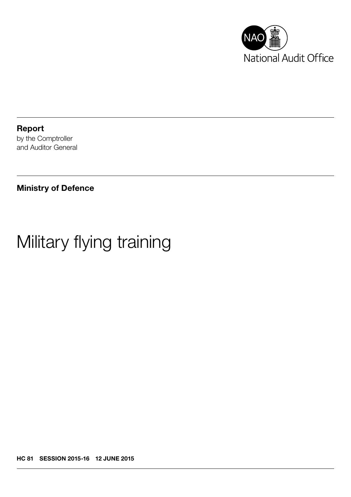

Report by the Comptroller and Auditor General

Ministry of Defence

# Military flying training

HC 81 SESSION 2015-16 12 JUNE 2015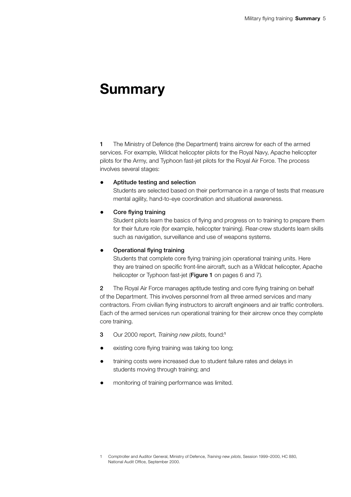## **Summary**

1 The Ministry of Defence (the Department) trains aircrew for each of the armed services. For example, Wildcat helicopter pilots for the Royal Navy, Apache helicopter pilots for the Army, and Typhoon fast-jet pilots for the Royal Air Force. The process involves several stages:

#### Aptitude testing and selection

Students are selected based on their performance in a range of tests that measure mental agility, hand-to-eye coordination and situational awareness.

#### • Core flying training

Student pilots learn the basics of flying and progress on to training to prepare them for their future role (for example, helicopter training). Rear-crew students learn skills such as navigation, surveillance and use of weapons systems.

#### • Operational flying training

Students that complete core flying training join operational training units. Here they are trained on specific front-line aircraft, such as a Wildcat helicopter, Apache helicopter or Typhoon fast-jet (Figure 1 on pages 6 and 7).

2 The Royal Air Force manages aptitude testing and core flying training on behalf of the Department. This involves personnel from all three armed services and many contractors. From civilian flying instructors to aircraft engineers and air traffic controllers. Each of the armed services run operational training for their aircrew once they complete core training.

- 3 Our 2000 report, *Training new pilots*, found:<sup>1</sup>
- existing core flying training was taking too long;
- training costs were increased due to student failure rates and delays in students moving through training; and
- monitoring of training performance was limited.

<sup>1</sup> Comptroller and Auditor General, Ministry of Defence, *Training new pilots*, Session 1999–2000, HC 880, National Audit Office, September 2000.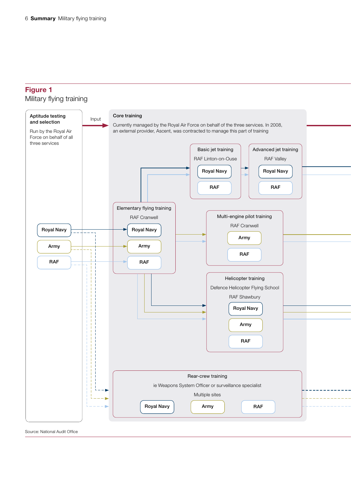### Figure 1

#### Military flying training



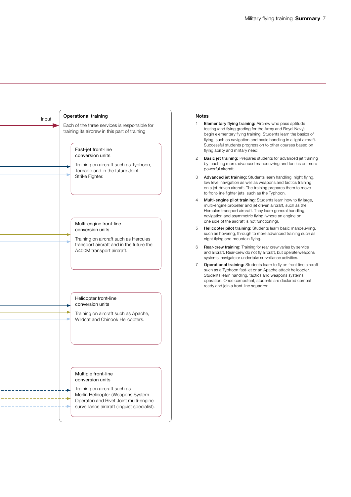

#### Notes

- 1 Elementary flying training: Aircrew who pass aptitude testing (and flying grading for the Army and Royal Navy) begin elementary flying training. Students learn the basics of flying, such as navigation and basic handling in a light aircraft. Successful students progress on to other courses based on flying ability and military need.
- 2 Basic jet training: Prepares students for advanced jet training by teaching more advanced manoeuvring and tactics on more powerful aircraft.
- 3 Advanced jet training: Students learn handling, night flying, low level navigation as well as weapons and tactics training on a jet-driven aircraft. The training prepares them to move to front-line fighter jets, such as the Typhoon.
- 4 Multi-engine pilot training: Students learn how to fly large, multi-engine propeller and jet driven aircraft, such as the Hercules transport aircraft. They learn general handling, navigation and asymmetric flying (where an engine on one side of the aircraft is not functioning).
- 5 Helicopter pilot training: Students learn basic manoeuvring, such as hovering, through to more advanced training such as night flying and mountain flying.
- 6 Rear-crew training: Training for rear crew varies by service and aircraft. Rear-crew do not fly aircraft, but operate weapons systems, navigate or undertake surveillance activities.
- Operational training: Students learn to fly on front-line aircraft such as a Typhoon fast-jet or an Apache attack helicopter. Students learn handling, tactics and weapons systems operation. Once competent, students are declared combat ready and join a front-line squadron.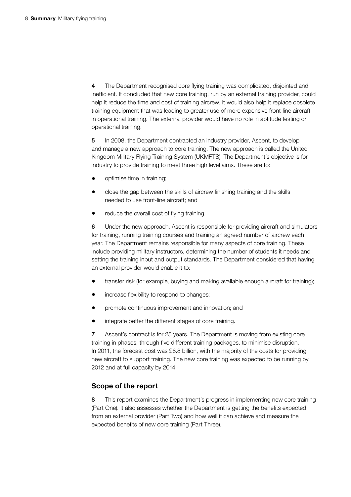4 The Department recognised core flying training was complicated, disjointed and inefficient. It concluded that new core training, run by an external training provider, could help it reduce the time and cost of training aircrew. It would also help it replace obsolete training equipment that was leading to greater use of more expensive front-line aircraft in operational training. The external provider would have no role in aptitude testing or operational training.

5 In 2008, the Department contracted an industry provider, Ascent, to develop and manage a new approach to core training. The new approach is called the United Kingdom Military Flying Training System (UKMFTS). The Department's objective is for industry to provide training to meet three high level aims. These are to:

- optimise time in training;
- close the gap between the skills of aircrew finishing training and the skills needed to use front-line aircraft; and
- reduce the overall cost of flying training.

6 Under the new approach, Ascent is responsible for providing aircraft and simulators for training, running training courses and training an agreed number of aircrew each year. The Department remains responsible for many aspects of core training. These include providing military instructors, determining the number of students it needs and setting the training input and output standards. The Department considered that having an external provider would enable it to:

- transfer risk (for example, buying and making available enough aircraft for training);
- increase flexibility to respond to changes;
- promote continuous improvement and innovation; and
- integrate better the different stages of core training.

7 Ascent's contract is for 25 years. The Department is moving from existing core training in phases, through five different training packages, to minimise disruption. In 2011, the forecast cost was £6.8 billion, with the majority of the costs for providing new aircraft to support training. The new core training was expected to be running by 2012 and at full capacity by 2014.

#### Scope of the report

8 This report examines the Department's progress in implementing new core training (Part One). It also assesses whether the Department is getting the benefits expected from an external provider (Part Two) and how well it can achieve and measure the expected benefits of new core training (Part Three).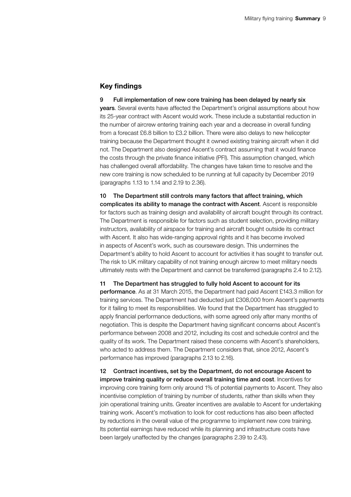#### Key findings

9 Full implementation of new core training has been delayed by nearly six years. Several events have affected the Department's original assumptions about how its 25-year contract with Ascent would work. These include a substantial reduction in the number of aircrew entering training each year and a decrease in overall funding from a forecast £6.8 billion to £3.2 billion. There were also delays to new helicopter training because the Department thought it owned existing training aircraft when it did not. The Department also designed Ascent's contract assuming that it would finance the costs through the private finance initiative (PFI). This assumption changed, which has challenged overall affordability. The changes have taken time to resolve and the new core training is now scheduled to be running at full capacity by December 2019 (paragraphs 1.13 to 1.14 and 2.19 to 2.36).

10 The Department still controls many factors that affect training, which complicates its ability to manage the contract with Ascent. Ascent is responsible for factors such as training design and availability of aircraft bought through its contract. The Department is responsible for factors such as student selection, providing military instructors, availability of airspace for training and aircraft bought outside its contract with Ascent. It also has wide-ranging approval rights and it has become involved in aspects of Ascent's work, such as courseware design. This undermines the Department's ability to hold Ascent to account for activities it has sought to transfer out. The risk to UK military capability of not training enough aircrew to meet military needs ultimately rests with the Department and cannot be transferred (paragraphs 2.4 to 2.12).

11 The Department has struggled to fully hold Ascent to account for its performance. As at 31 March 2015, the Department had paid Ascent £143.3 million for training services. The Department had deducted just £308,000 from Ascent's payments for it failing to meet its responsibilities. We found that the Department has struggled to apply financial performance deductions, with some agreed only after many months of negotiation. This is despite the Department having significant concerns about Ascent's performance between 2008 and 2012, including its cost and schedule control and the quality of its work. The Department raised these concerns with Ascent's shareholders, who acted to address them. The Department considers that, since 2012, Ascent's performance has improved (paragraphs 2.13 to 2.16).

12 Contract incentives, set by the Department, do not encourage Ascent to improve training quality or reduce overall training time and cost. Incentives for improving core training form only around 1% of potential payments to Ascent. They also incentivise completion of training by number of students, rather than skills when they join operational training units. Greater incentives are available to Ascent for undertaking training work. Ascent's motivation to look for cost reductions has also been affected by reductions in the overall value of the programme to implement new core training. Its potential earnings have reduced while its planning and infrastructure costs have been largely unaffected by the changes (paragraphs 2.39 to 2.43).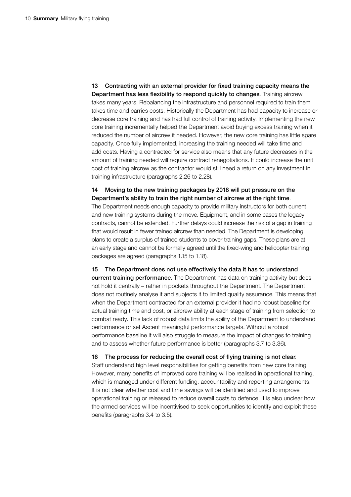13 Contracting with an external provider for fixed training capacity means the Department has less flexibility to respond quickly to changes. Training aircrew takes many years. Rebalancing the infrastructure and personnel required to train them takes time and carries costs. Historically the Department has had capacity to increase or decrease core training and has had full control of training activity. Implementing the new core training incrementally helped the Department avoid buying excess training when it reduced the number of aircrew it needed. However, the new core training has little spare capacity. Once fully implemented, increasing the training needed will take time and add costs. Having a contracted for service also means that any future decreases in the amount of training needed will require contract renegotiations. It could increase the unit cost of training aircrew as the contractor would still need a return on any investment in training infrastructure (paragraphs 2.26 to 2.28).

14 Moving to the new training packages by 2018 will put pressure on the Department's ability to train the right number of aircrew at the right time. The Department needs enough capacity to provide military instructors for both current and new training systems during the move. Equipment, and in some cases the legacy contracts, cannot be extended. Further delays could increase the risk of a gap in training that would result in fewer trained aircrew than needed. The Department is developing plans to create a surplus of trained students to cover training gaps. These plans are at an early stage and cannot be formally agreed until the fixed-wing and helicopter training packages are agreed (paragraphs 1.15 to 1.18).

15 The Department does not use effectively the data it has to understand current training performance. The Department has data on training activity but does not hold it centrally – rather in pockets throughout the Department. The Department does not routinely analyse it and subjects it to limited quality assurance. This means that when the Department contracted for an external provider it had no robust baseline for actual training time and cost, or aircrew ability at each stage of training from selection to combat ready. This lack of robust data limits the ability of the Department to understand performance or set Ascent meaningful performance targets. Without a robust performance baseline it will also struggle to measure the impact of changes to training and to assess whether future performance is better (paragraphs 3.7 to 3.36).

16 The process for reducing the overall cost of flying training is not clear. Staff understand high level responsibilities for getting benefits from new core training.

However, many benefits of improved core training will be realised in operational training, which is managed under different funding, accountability and reporting arrangements. It is not clear whether cost and time savings will be identified and used to improve operational training or released to reduce overall costs to defence. It is also unclear how the armed services will be incentivised to seek opportunities to identify and exploit these benefits (paragraphs 3.4 to 3.5).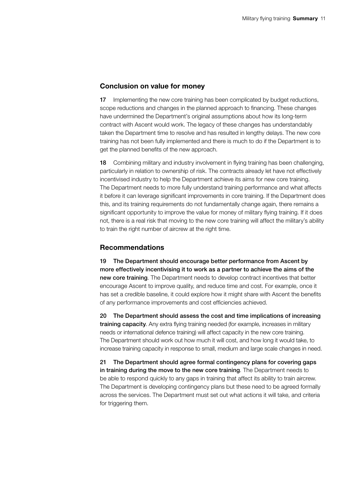#### Conclusion on value for money

17 Implementing the new core training has been complicated by budget reductions, scope reductions and changes in the planned approach to financing. These changes have undermined the Department's original assumptions about how its long-term contract with Ascent would work. The legacy of these changes has understandably taken the Department time to resolve and has resulted in lengthy delays. The new core training has not been fully implemented and there is much to do if the Department is to get the planned benefits of the new approach.

18 Combining military and industry involvement in flying training has been challenging, particularly in relation to ownership of risk. The contracts already let have not effectively incentivised industry to help the Department achieve its aims for new core training. The Department needs to more fully understand training performance and what affects it before it can leverage significant improvements in core training. If the Department does this, and its training requirements do not fundamentally change again, there remains a significant opportunity to improve the value for money of military flying training. If it does not, there is a real risk that moving to the new core training will affect the military's ability to train the right number of aircrew at the right time.

#### Recommendations

19 The Department should encourage better performance from Ascent by more effectively incentivising it to work as a partner to achieve the aims of the new core training. The Department needs to develop contract incentives that better encourage Ascent to improve quality, and reduce time and cost. For example, once it has set a credible baseline, it could explore how it might share with Ascent the benefits of any performance improvements and cost efficiencies achieved.

20 The Department should assess the cost and time implications of increasing training capacity. Any extra flying training needed (for example, increases in military needs or international defence training) will affect capacity in the new core training. The Department should work out how much it will cost, and how long it would take, to increase training capacity in response to small, medium and large scale changes in need.

21 The Department should agree formal contingency plans for covering gaps in training during the move to the new core training. The Department needs to be able to respond quickly to any gaps in training that affect its ability to train aircrew. The Department is developing contingency plans but these need to be agreed formally across the services. The Department must set out what actions it will take, and criteria for triggering them.